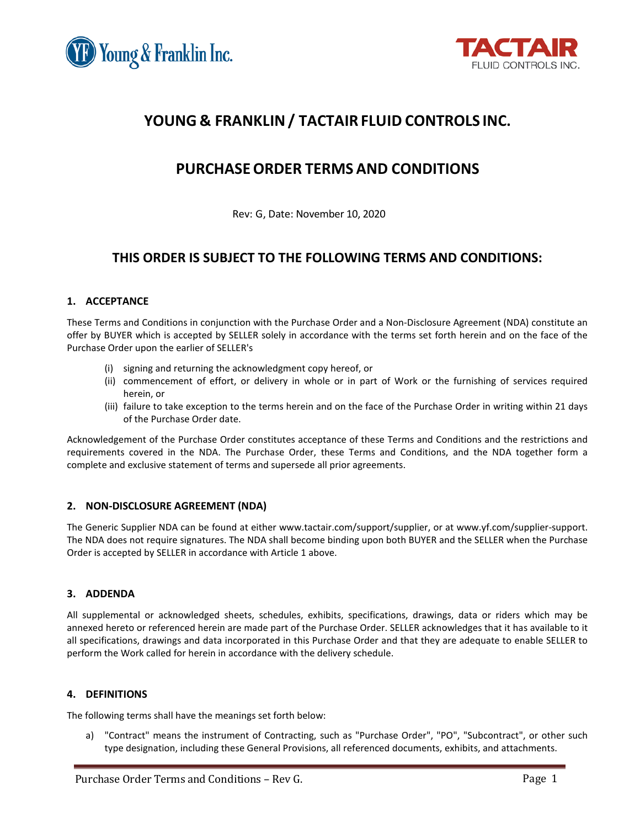



# **YOUNG & FRANKLIN/ TACTAIR FLUID CONTROLS INC.**

# **PURCHASEORDER TERMS AND CONDITIONS**

Rev: G, Date: November 10, 2020

# **THIS ORDER IS SUBJECT TO THE FOLLOWING TERMS AND CONDITIONS:**

# **1. ACCEPTANCE**

These Terms and Conditions in conjunction with the Purchase Order and a Non-Disclosure Agreement (NDA) constitute an offer by BUYER which is accepted by SELLER solely in accordance with the terms set forth herein and on the face of the Purchase Order upon the earlier of SELLER's

- (i) signing and returning the acknowledgment copy hereof, or
- (ii) commencement of effort, or delivery in whole or in part of Work or the furnishing of services required herein, or
- (iii) failure to take exception to the terms herein and on the face of the Purchase Order in writing within 21 days of the Purchase Order date.

Acknowledgement of the Purchase Order constitutes acceptance of these Terms and Conditions and the restrictions and requirements covered in the NDA. The Purchase Order, these Terms and Conditions, and the NDA together form a complete and exclusive statement of terms and supersede all prior agreements.

# **2. NON-DISCLOSURE AGREEMENT (NDA)**

The Generic Supplier NDA can be found at either www.tactair.com/support/supplier, or at www.yf.com/supplier-support. The NDA does not require signatures. The NDA shall become binding upon both BUYER and the SELLER when the Purchase Order is accepted by SELLER in accordance with Article 1 above.

# **3. ADDENDA**

All supplemental or acknowledged sheets, schedules, exhibits, specifications, drawings, data or riders which may be annexed hereto or referenced herein are made part of the Purchase Order. SELLER acknowledges that it has available to it all specifications, drawings and data incorporated in this Purchase Order and that they are adequate to enable SELLER to perform the Work called for herein in accordance with the delivery schedule.

# **4. DEFINITIONS**

The following terms shall have the meanings set forth below:

a) "Contract" means the instrument of Contracting, such as "Purchase Order", "PO", "Subcontract", or other such type designation, including these General Provisions, all referenced documents, exhibits, and attachments.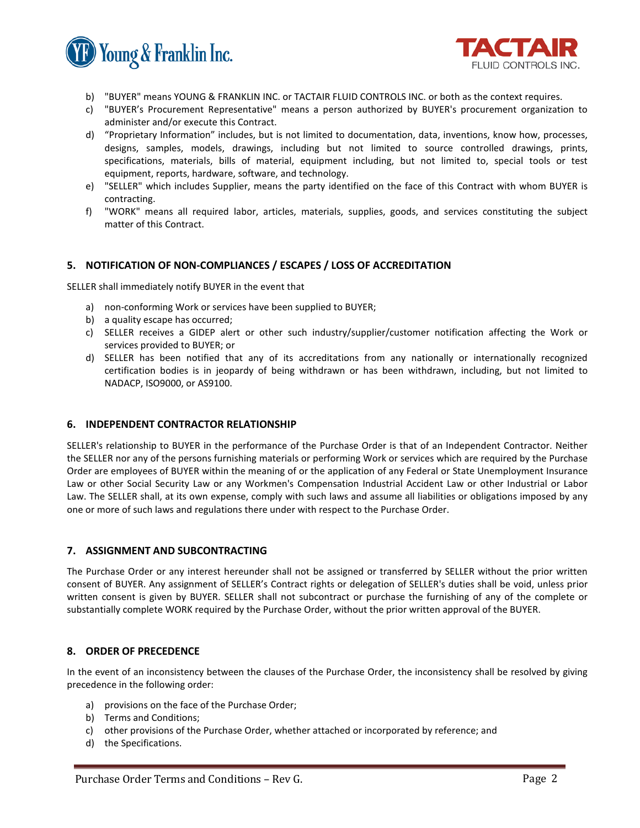



- b) "BUYER" means YOUNG & FRANKLIN INC. or TACTAIR FLUID CONTROLS INC. or both as the context requires.
- c) "BUYER's Procurement Representative" means a person authorized by BUYER's procurement organization to administer and/or execute this Contract.
- d) "Proprietary Information" includes, but is not limited to documentation, data, inventions, know how, processes, designs, samples, models, drawings, including but not limited to source controlled drawings, prints, specifications, materials, bills of material, equipment including, but not limited to, special tools or test equipment, reports, hardware, software, and technology.
- e) "SELLER" which includes Supplier, means the party identified on the face of this Contract with whom BUYER is contracting.
- f) "WORK" means all required labor, articles, materials, supplies, goods, and services constituting the subject matter of this Contract.

# **5. NOTIFICATION OF NON-COMPLIANCES / ESCAPES / LOSS OF ACCREDITATION**

SELLER shall immediately notify BUYER in the event that

- a) non-conforming Work or services have been supplied to BUYER;
- b) a quality escape has occurred;
- c) SELLER receives a GIDEP alert or other such industry/supplier/customer notification affecting the Work or services provided to BUYER; or
- d) SELLER has been notified that any of its accreditations from any nationally or internationally recognized certification bodies is in jeopardy of being withdrawn or has been withdrawn, including, but not limited to NADACP, ISO9000, or AS9100.

# **6. INDEPENDENT CONTRACTOR RELATIONSHIP**

SELLER's relationship to BUYER in the performance of the Purchase Order is that of an Independent Contractor. Neither the SELLER nor any of the persons furnishing materials or performing Work or services which are required by the Purchase Order are employees of BUYER within the meaning of or the application of any Federal or State Unemployment Insurance Law or other Social Security Law or any Workmen's Compensation Industrial Accident Law or other Industrial or Labor Law. The SELLER shall, at its own expense, comply with such laws and assume all liabilities or obligations imposed by any one or more of such laws and regulations there under with respect to the Purchase Order.

# **7. ASSIGNMENT AND SUBCONTRACTING**

The Purchase Order or any interest hereunder shall not be assigned or transferred by SELLER without the prior written consent of BUYER. Any assignment of SELLER's Contract rights or delegation of SELLER's duties shall be void, unless prior written consent is given by BUYER. SELLER shall not subcontract or purchase the furnishing of any of the complete or substantially complete WORK required by the Purchase Order, without the prior written approval of the BUYER.

# **8. ORDER OF PRECEDENCE**

In the event of an inconsistency between the clauses of the Purchase Order, the inconsistency shall be resolved by giving precedence in the following order:

- a) provisions on the face of the Purchase Order;
- b) Terms and Conditions;
- c) other provisions of the Purchase Order, whether attached or incorporated by reference; and
- d) the Specifications.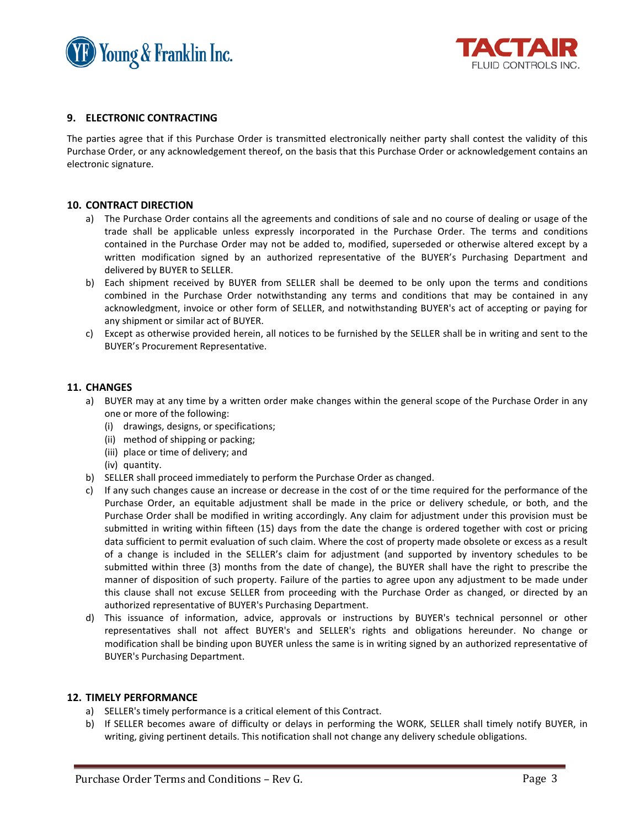



# **9. ELECTRONIC CONTRACTING**

The parties agree that if this Purchase Order is transmitted electronically neither party shall contest the validity of this Purchase Order, or any acknowledgement thereof, on the basis that this Purchase Order or acknowledgement contains an electronic signature.

#### **10. CONTRACT DIRECTION**

- a) The Purchase Order contains all the agreements and conditions of sale and no course of dealing or usage of the trade shall be applicable unless expressly incorporated in the Purchase Order. The terms and conditions contained in the Purchase Order may not be added to, modified, superseded or otherwise altered except by a written modification signed by an authorized representative of the BUYER's Purchasing Department and delivered by BUYER to SELLER.
- b) Each shipment received by BUYER from SELLER shall be deemed to be only upon the terms and conditions combined in the Purchase Order notwithstanding any terms and conditions that may be contained in any acknowledgment, invoice or other form of SELLER, and notwithstanding BUYER's act of accepting or paying for any shipment or similar act of BUYER.
- c) Except as otherwise provided herein, all notices to be furnished by the SELLER shall be in writing and sent to the BUYER's Procurement Representative.

# **11. CHANGES**

- a) BUYER may at any time by a written order make changes within the general scope of the Purchase Order in any one or more of the following:
	- (i) drawings, designs, or specifications;
	- (ii) method of shipping or packing;
	- (iii) place or time of delivery; and
	- (iv) quantity.
- b) SELLER shall proceed immediately to perform the Purchase Order as changed.
- c) If any such changes cause an increase or decrease in the cost of or the time required for the performance of the Purchase Order, an equitable adjustment shall be made in the price or delivery schedule, or both, and the Purchase Order shall be modified in writing accordingly. Any claim for adjustment under this provision must be submitted in writing within fifteen (15) days from the date the change is ordered together with cost or pricing data sufficient to permit evaluation of such claim. Where the cost of property made obsolete or excess as a result of a change is included in the SELLER's claim for adjustment (and supported by inventory schedules to be submitted within three (3) months from the date of change), the BUYER shall have the right to prescribe the manner of disposition of such property. Failure of the parties to agree upon any adjustment to be made under this clause shall not excuse SELLER from proceeding with the Purchase Order as changed, or directed by an authorized representative of BUYER's Purchasing Department.
- d) This issuance of information, advice, approvals or instructions by BUYER's technical personnel or other representatives shall not affect BUYER's and SELLER's rights and obligations hereunder. No change or modification shall be binding upon BUYER unless the same is in writing signed by an authorized representative of BUYER's Purchasing Department.

#### **12. TIMELY PERFORMANCE**

- a) SELLER's timely performance is a critical element of this Contract.
- b) If SELLER becomes aware of difficulty or delays in performing the WORK, SELLER shall timely notify BUYER, in writing, giving pertinent details. This notification shall not change any delivery schedule obligations.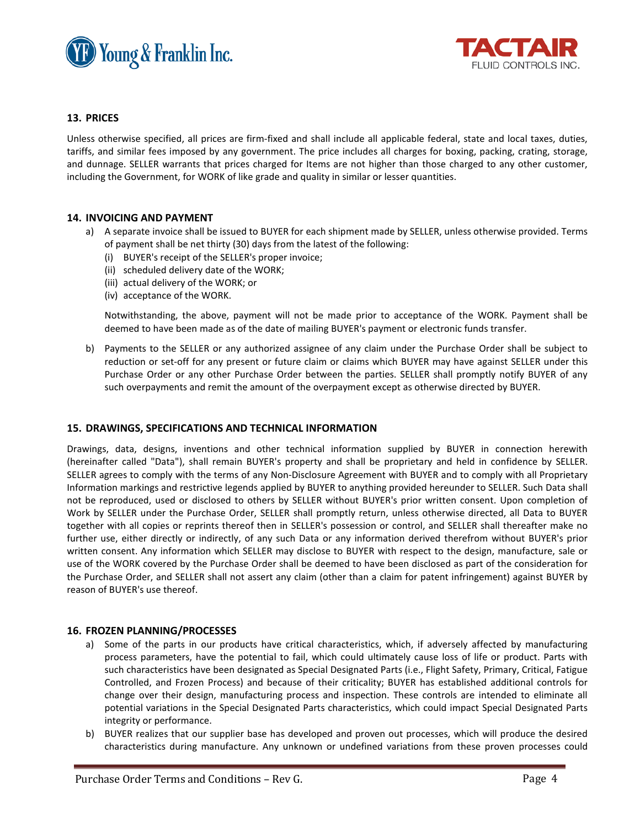



# **13. PRICES**

Unless otherwise specified, all prices are firm-fixed and shall include all applicable federal, state and local taxes, duties, tariffs, and similar fees imposed by any government. The price includes all charges for boxing, packing, crating, storage, and dunnage. SELLER warrants that prices charged for Items are not higher than those charged to any other customer, including the Government, for WORK of like grade and quality in similar or lesser quantities.

# **14. INVOICING AND PAYMENT**

- a) A separate invoice shall be issued to BUYER for each shipment made by SELLER, unless otherwise provided. Terms of payment shall be net thirty (30) days from the latest of the following:
	- (i) BUYER's receipt of the SELLER's proper invoice;
	- (ii) scheduled delivery date of the WORK;
	- (iii) actual delivery of the WORK; or
	- (iv) acceptance of the WORK.

Notwithstanding, the above, payment will not be made prior to acceptance of the WORK. Payment shall be deemed to have been made as of the date of mailing BUYER's payment or electronic funds transfer.

b) Payments to the SELLER or any authorized assignee of any claim under the Purchase Order shall be subject to reduction or set-off for any present or future claim or claims which BUYER may have against SELLER under this Purchase Order or any other Purchase Order between the parties. SELLER shall promptly notify BUYER of any such overpayments and remit the amount of the overpayment except as otherwise directed by BUYER.

# **15. DRAWINGS, SPECIFICATIONS AND TECHNICAL INFORMATION**

Drawings, data, designs, inventions and other technical information supplied by BUYER in connection herewith (hereinafter called "Data"), shall remain BUYER's property and shall be proprietary and held in confidence by SELLER. SELLER agrees to comply with the terms of any Non-Disclosure Agreement with BUYER and to comply with all Proprietary Information markings and restrictive legends applied by BUYER to anything provided hereunder to SELLER. Such Data shall not be reproduced, used or disclosed to others by SELLER without BUYER's prior written consent. Upon completion of Work by SELLER under the Purchase Order, SELLER shall promptly return, unless otherwise directed, all Data to BUYER together with all copies or reprints thereof then in SELLER's possession or control, and SELLER shall thereafter make no further use, either directly or indirectly, of any such Data or any information derived therefrom without BUYER's prior written consent. Any information which SELLER may disclose to BUYER with respect to the design, manufacture, sale or use of the WORK covered by the Purchase Order shall be deemed to have been disclosed as part of the consideration for the Purchase Order, and SELLER shall not assert any claim (other than a claim for patent infringement) against BUYER by reason of BUYER's use thereof.

#### **16. FROZEN PLANNING/PROCESSES**

- a) Some of the parts in our products have critical characteristics, which, if adversely affected by manufacturing process parameters, have the potential to fail, which could ultimately cause loss of life or product. Parts with such characteristics have been designated as Special Designated Parts (i.e., Flight Safety, Primary, Critical, Fatigue Controlled, and Frozen Process) and because of their criticality; BUYER has established additional controls for change over their design, manufacturing process and inspection. These controls are intended to eliminate all potential variations in the Special Designated Parts characteristics, which could impact Special Designated Parts integrity or performance.
- b) BUYER realizes that our supplier base has developed and proven out processes, which will produce the desired characteristics during manufacture. Any unknown or undefined variations from these proven processes could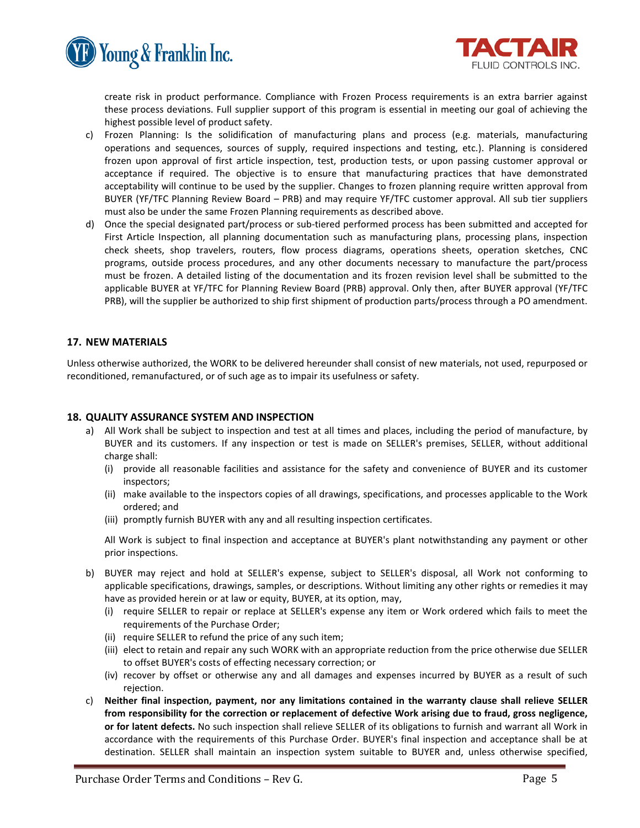



create risk in product performance. Compliance with Frozen Process requirements is an extra barrier against these process deviations. Full supplier support of this program is essential in meeting our goal of achieving the highest possible level of product safety.

- c) Frozen Planning: Is the solidification of manufacturing plans and process (e.g. materials, manufacturing operations and sequences, sources of supply, required inspections and testing, etc.). Planning is considered frozen upon approval of first article inspection, test, production tests, or upon passing customer approval or acceptance if required. The objective is to ensure that manufacturing practices that have demonstrated acceptability will continue to be used by the supplier. Changes to frozen planning require written approval from BUYER (YF/TFC Planning Review Board – PRB) and may require YF/TFC customer approval. All sub tier suppliers must also be under the same Frozen Planning requirements as described above.
- d) Once the special designated part/process or sub-tiered performed process has been submitted and accepted for First Article Inspection, all planning documentation such as manufacturing plans, processing plans, inspection check sheets, shop travelers, routers, flow process diagrams, operations sheets, operation sketches, CNC programs, outside process procedures, and any other documents necessary to manufacture the part/process must be frozen. A detailed listing of the documentation and its frozen revision level shall be submitted to the applicable BUYER at YF/TFC for Planning Review Board (PRB) approval. Only then, after BUYER approval (YF/TFC PRB), will the supplier be authorized to ship first shipment of production parts/process through a PO amendment.

# **17. NEW MATERIALS**

Unless otherwise authorized, the WORK to be delivered hereunder shall consist of new materials, not used, repurposed or reconditioned, remanufactured, or of such age as to impair its usefulness or safety.

#### **18. QUALITY ASSURANCE SYSTEM AND INSPECTION**

- a) All Work shall be subject to inspection and test at all times and places, including the period of manufacture, by BUYER and its customers. If any inspection or test is made on SELLER's premises, SELLER, without additional charge shall:
	- (i) provide all reasonable facilities and assistance for the safety and convenience of BUYER and its customer inspectors;
	- (ii) make available to the inspectors copies of all drawings, specifications, and processes applicable to the Work ordered; and
	- (iii) promptly furnish BUYER with any and all resulting inspection certificates.

All Work is subject to final inspection and acceptance at BUYER's plant notwithstanding any payment or other prior inspections.

- b) BUYER may reject and hold at SELLER's expense, subject to SELLER's disposal, all Work not conforming to applicable specifications, drawings, samples, or descriptions. Without limiting any other rights or remedies it may have as provided herein or at law or equity, BUYER, at its option, may,
	- (i) require SELLER to repair or replace at SELLER's expense any item or Work ordered which fails to meet the requirements of the Purchase Order;
	- (ii) require SELLER to refund the price of any such item;
	- (iii) elect to retain and repair any such WORK with an appropriate reduction from the price otherwise due SELLER to offset BUYER's costs of effecting necessary correction; or
	- (iv) recover by offset or otherwise any and all damages and expenses incurred by BUYER as a result of such rejection.
- c) **Neither final inspection, payment, nor any limitations contained in the warranty clause shall relieve SELLER from responsibility for the correction or replacement of defective Work arising due to fraud, gross negligence, or for latent defects.** No such inspection shall relieve SELLER of its obligations to furnish and warrant all Work in accordance with the requirements of this Purchase Order. BUYER's final inspection and acceptance shall be at destination. SELLER shall maintain an inspection system suitable to BUYER and, unless otherwise specified,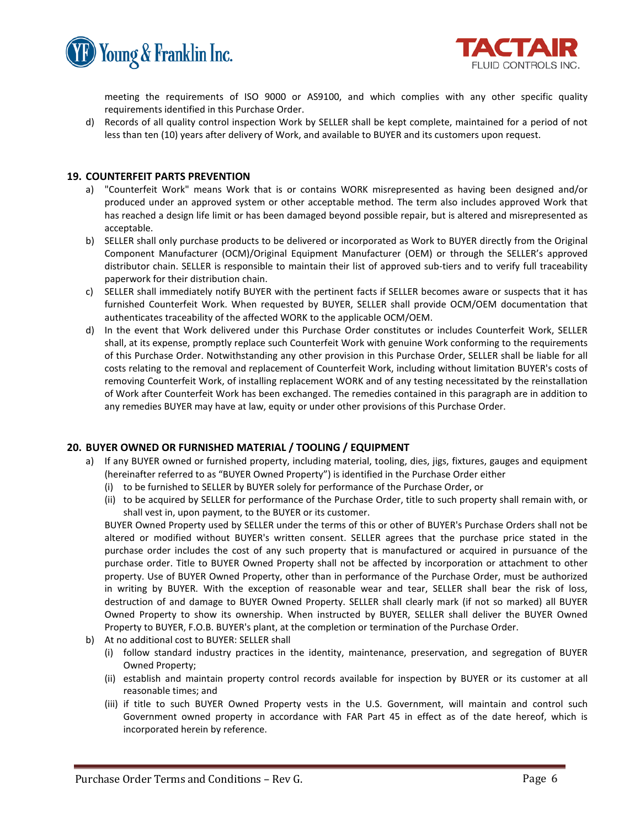



meeting the requirements of ISO 9000 or AS9100, and which complies with any other specific quality requirements identified in this Purchase Order.

d) Records of all quality control inspection Work by SELLER shall be kept complete, maintained for a period of not less than ten (10) years after delivery of Work, and available to BUYER and its customers upon request.

# **19. COUNTERFEIT PARTS PREVENTION**

- a) "Counterfeit Work" means Work that is or contains WORK misrepresented as having been designed and/or produced under an approved system or other acceptable method. The term also includes approved Work that has reached a design life limit or has been damaged beyond possible repair, but is altered and misrepresented as acceptable.
- b) SELLER shall only purchase products to be delivered or incorporated as Work to BUYER directly from the Original Component Manufacturer (OCM)/Original Equipment Manufacturer (OEM) or through the SELLER's approved distributor chain. SELLER is responsible to maintain their list of approved sub-tiers and to verify full traceability paperwork for their distribution chain.
- c) SELLER shall immediately notify BUYER with the pertinent facts if SELLER becomes aware or suspects that it has furnished Counterfeit Work. When requested by BUYER, SELLER shall provide OCM/OEM documentation that authenticates traceability of the affected WORK to the applicable OCM/OEM.
- d) In the event that Work delivered under this Purchase Order constitutes or includes Counterfeit Work, SELLER shall, at its expense, promptly replace such Counterfeit Work with genuine Work conforming to the requirements of this Purchase Order. Notwithstanding any other provision in this Purchase Order, SELLER shall be liable for all costs relating to the removal and replacement of Counterfeit Work, including without limitation BUYER's costs of removing Counterfeit Work, of installing replacement WORK and of any testing necessitated by the reinstallation of Work after Counterfeit Work has been exchanged. The remedies contained in this paragraph are in addition to any remedies BUYER may have at law, equity or under other provisions of this Purchase Order.

# **20. BUYER OWNED OR FURNISHED MATERIAL / TOOLING / EQUIPMENT**

- a) If any BUYER owned or furnished property, including material, tooling, dies, jigs, fixtures, gauges and equipment (hereinafter referred to as "BUYER Owned Property") is identified in the Purchase Order either
	- (i) to be furnished to SELLER by BUYER solely for performance of the Purchase Order, or
	- (ii) to be acquired by SELLER for performance of the Purchase Order, title to such property shall remain with, or shall vest in, upon payment, to the BUYER or its customer.

BUYER Owned Property used by SELLER under the terms of this or other of BUYER's Purchase Orders shall not be altered or modified without BUYER's written consent. SELLER agrees that the purchase price stated in the purchase order includes the cost of any such property that is manufactured or acquired in pursuance of the purchase order. Title to BUYER Owned Property shall not be affected by incorporation or attachment to other property. Use of BUYER Owned Property, other than in performance of the Purchase Order, must be authorized in writing by BUYER. With the exception of reasonable wear and tear, SELLER shall bear the risk of loss, destruction of and damage to BUYER Owned Property. SELLER shall clearly mark (if not so marked) all BUYER Owned Property to show its ownership. When instructed by BUYER, SELLER shall deliver the BUYER Owned Property to BUYER, F.O.B. BUYER's plant, at the completion or termination of the Purchase Order.

- b) At no additional cost to BUYER: SELLER shall
	- (i) follow standard industry practices in the identity, maintenance, preservation, and segregation of BUYER Owned Property;
	- (ii) establish and maintain property control records available for inspection by BUYER or its customer at all reasonable times; and
	- (iii) if title to such BUYER Owned Property vests in the U.S. Government, will maintain and control such Government owned property in accordance with FAR Part 45 in effect as of the date hereof, which is incorporated herein by reference.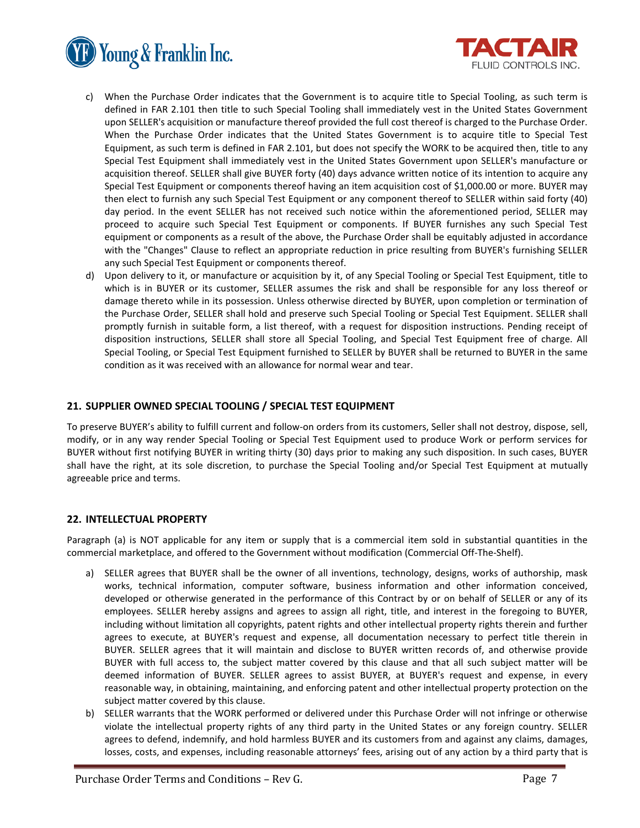



- c) When the Purchase Order indicates that the Government is to acquire title to Special Tooling, as such term is defined in FAR 2.101 then title to such Special Tooling shall immediately vest in the United States Government upon SELLER's acquisition or manufacture thereof provided the full cost thereof is charged to the Purchase Order. When the Purchase Order indicates that the United States Government is to acquire title to Special Test Equipment, as such term is defined in FAR 2.101, but does not specify the WORK to be acquired then, title to any Special Test Equipment shall immediately vest in the United States Government upon SELLER's manufacture or acquisition thereof. SELLER shall give BUYER forty (40) days advance written notice of its intention to acquire any Special Test Equipment or components thereof having an item acquisition cost of \$1,000.00 or more. BUYER may then elect to furnish any such Special Test Equipment or any component thereof to SELLER within said forty (40) day period. In the event SELLER has not received such notice within the aforementioned period, SELLER may proceed to acquire such Special Test Equipment or components. If BUYER furnishes any such Special Test equipment or components as a result of the above, the Purchase Order shall be equitably adjusted in accordance with the "Changes" Clause to reflect an appropriate reduction in price resulting from BUYER's furnishing SELLER any such Special Test Equipment or components thereof.
- d) Upon delivery to it, or manufacture or acquisition by it, of any Special Tooling or Special Test Equipment, title to which is in BUYER or its customer, SELLER assumes the risk and shall be responsible for any loss thereof or damage thereto while in its possession. Unless otherwise directed by BUYER, upon completion or termination of the Purchase Order, SELLER shall hold and preserve such Special Tooling or Special Test Equipment. SELLER shall promptly furnish in suitable form, a list thereof, with a request for disposition instructions. Pending receipt of disposition instructions, SELLER shall store all Special Tooling, and Special Test Equipment free of charge. All Special Tooling, or Special Test Equipment furnished to SELLER by BUYER shall be returned to BUYER in the same condition as it was received with an allowance for normal wear and tear.

# **21. SUPPLIER OWNED SPECIAL TOOLING / SPECIAL TEST EQUIPMENT**

To preserve BUYER's ability to fulfill current and follow-on orders from its customers, Seller shall not destroy, dispose, sell, modify, or in any way render Special Tooling or Special Test Equipment used to produce Work or perform services for BUYER without first notifying BUYER in writing thirty (30) days prior to making any such disposition. In such cases, BUYER shall have the right, at its sole discretion, to purchase the Special Tooling and/or Special Test Equipment at mutually agreeable price and terms.

# **22. INTELLECTUAL PROPERTY**

Paragraph (a) is NOT applicable for any item or supply that is a commercial item sold in substantial quantities in the commercial marketplace, and offered to the Government without modification (Commercial Off-The-Shelf).

- a) SELLER agrees that BUYER shall be the owner of all inventions, technology, designs, works of authorship, mask works, technical information, computer software, business information and other information conceived, developed or otherwise generated in the performance of this Contract by or on behalf of SELLER or any of its employees. SELLER hereby assigns and agrees to assign all right, title, and interest in the foregoing to BUYER, including without limitation all copyrights, patent rights and other intellectual property rights therein and further agrees to execute, at BUYER's request and expense, all documentation necessary to perfect title therein in BUYER. SELLER agrees that it will maintain and disclose to BUYER written records of, and otherwise provide BUYER with full access to, the subject matter covered by this clause and that all such subject matter will be deemed information of BUYER. SELLER agrees to assist BUYER, at BUYER's request and expense, in every reasonable way, in obtaining, maintaining, and enforcing patent and other intellectual property protection on the subject matter covered by this clause.
- b) SELLER warrants that the WORK performed or delivered under this Purchase Order will not infringe or otherwise violate the intellectual property rights of any third party in the United States or any foreign country. SELLER agrees to defend, indemnify, and hold harmless BUYER and its customers from and against any claims, damages, losses, costs, and expenses, including reasonable attorneys' fees, arising out of any action by a third party that is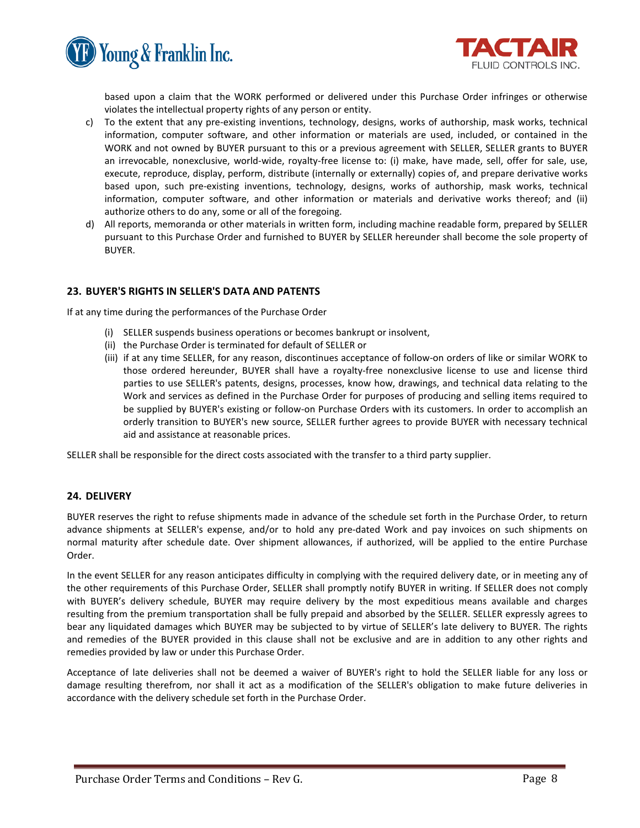



based upon a claim that the WORK performed or delivered under this Purchase Order infringes or otherwise violates the intellectual property rights of any person or entity.

- c) To the extent that any pre-existing inventions, technology, designs, works of authorship, mask works, technical information, computer software, and other information or materials are used, included, or contained in the WORK and not owned by BUYER pursuant to this or a previous agreement with SELLER, SELLER grants to BUYER an irrevocable, nonexclusive, world-wide, royalty-free license to: (i) make, have made, sell, offer for sale, use, execute, reproduce, display, perform, distribute (internally or externally) copies of, and prepare derivative works based upon, such pre-existing inventions, technology, designs, works of authorship, mask works, technical information, computer software, and other information or materials and derivative works thereof; and (ii) authorize others to do any, some or all of the foregoing.
- d) All reports, memoranda or other materials in written form, including machine readable form, prepared by SELLER pursuant to this Purchase Order and furnished to BUYER by SELLER hereunder shall become the sole property of BUYER.

# **23. BUYER'S RIGHTS IN SELLER'S DATA AND PATENTS**

If at any time during the performances of the Purchase Order

- (i) SELLER suspends business operations or becomes bankrupt or insolvent,
- (ii) the Purchase Order is terminated for default of SELLER or
- (iii) if at any time SELLER, for any reason, discontinues acceptance of follow-on orders of like or similar WORK to those ordered hereunder, BUYER shall have a royalty-free nonexclusive license to use and license third parties to use SELLER's patents, designs, processes, know how, drawings, and technical data relating to the Work and services as defined in the Purchase Order for purposes of producing and selling items required to be supplied by BUYER's existing or follow-on Purchase Orders with its customers. In order to accomplish an orderly transition to BUYER's new source, SELLER further agrees to provide BUYER with necessary technical aid and assistance at reasonable prices.

SELLER shall be responsible for the direct costs associated with the transfer to a third party supplier.

# **24. DELIVERY**

BUYER reserves the right to refuse shipments made in advance of the schedule set forth in the Purchase Order, to return advance shipments at SELLER's expense, and/or to hold any pre-dated Work and pay invoices on such shipments on normal maturity after schedule date. Over shipment allowances, if authorized, will be applied to the entire Purchase Order.

In the event SELLER for any reason anticipates difficulty in complying with the required delivery date, or in meeting any of the other requirements of this Purchase Order, SELLER shall promptly notify BUYER in writing. If SELLER does not comply with BUYER's delivery schedule, BUYER may require delivery by the most expeditious means available and charges resulting from the premium transportation shall be fully prepaid and absorbed by the SELLER. SELLER expressly agrees to bear any liquidated damages which BUYER may be subjected to by virtue of SELLER's late delivery to BUYER. The rights and remedies of the BUYER provided in this clause shall not be exclusive and are in addition to any other rights and remedies provided by law or under this Purchase Order.

Acceptance of late deliveries shall not be deemed a waiver of BUYER's right to hold the SELLER liable for any loss or damage resulting therefrom, nor shall it act as a modification of the SELLER's obligation to make future deliveries in accordance with the delivery schedule set forth in the Purchase Order.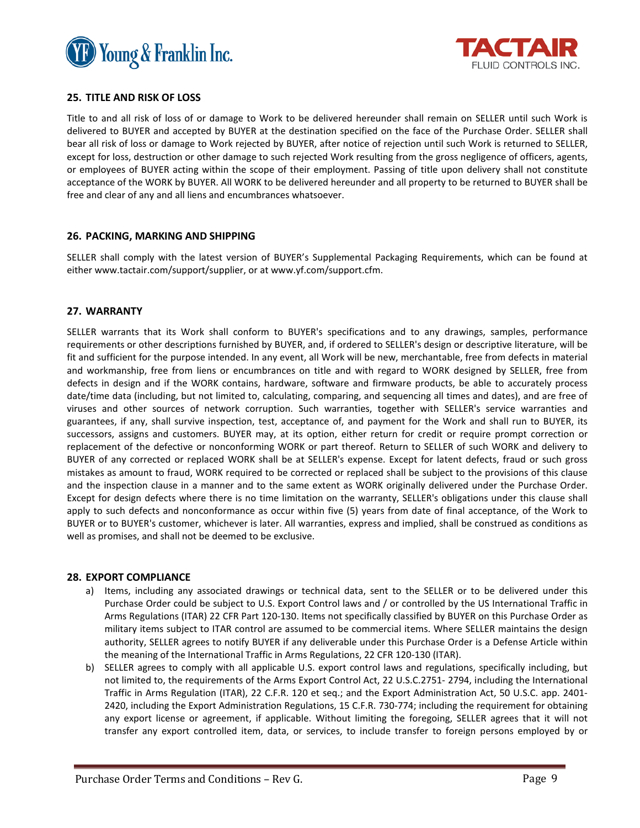



# **25. TITLE AND RISK OF LOSS**

Title to and all risk of loss of or damage to Work to be delivered hereunder shall remain on SELLER until such Work is delivered to BUYER and accepted by BUYER at the destination specified on the face of the Purchase Order. SELLER shall bear all risk of loss or damage to Work rejected by BUYER, after notice of rejection until such Work is returned to SELLER, except for loss, destruction or other damage to such rejected Work resulting from the gross negligence of officers, agents, or employees of BUYER acting within the scope of their employment. Passing of title upon delivery shall not constitute acceptance of the WORK by BUYER. All WORK to be delivered hereunder and all property to be returned to BUYER shall be free and clear of any and all liens and encumbrances whatsoever.

# **26. PACKING, MARKING AND SHIPPING**

SELLER shall comply with the latest version of BUYER's Supplemental Packaging Requirements, which can be found at either www.tactair.com/support/supplier, or at www.yf.com/support.cfm.

# **27. WARRANTY**

SELLER warrants that its Work shall conform to BUYER's specifications and to any drawings, samples, performance requirements or other descriptions furnished by BUYER, and, if ordered to SELLER's design or descriptive literature, will be fit and sufficient for the purpose intended. In any event, all Work will be new, merchantable, free from defects in material and workmanship, free from liens or encumbrances on title and with regard to WORK designed by SELLER, free from defects in design and if the WORK contains, hardware, software and firmware products, be able to accurately process date/time data (including, but not limited to, calculating, comparing, and sequencing all times and dates), and are free of viruses and other sources of network corruption. Such warranties, together with SELLER's service warranties and guarantees, if any, shall survive inspection, test, acceptance of, and payment for the Work and shall run to BUYER, its successors, assigns and customers. BUYER may, at its option, either return for credit or require prompt correction or replacement of the defective or nonconforming WORK or part thereof. Return to SELLER of such WORK and delivery to BUYER of any corrected or replaced WORK shall be at SELLER's expense. Except for latent defects, fraud or such gross mistakes as amount to fraud, WORK required to be corrected or replaced shall be subject to the provisions of this clause and the inspection clause in a manner and to the same extent as WORK originally delivered under the Purchase Order. Except for design defects where there is no time limitation on the warranty, SELLER's obligations under this clause shall apply to such defects and nonconformance as occur within five (5) years from date of final acceptance, of the Work to BUYER or to BUYER's customer, whichever is later. All warranties, express and implied, shall be construed as conditions as well as promises, and shall not be deemed to be exclusive.

# **28. EXPORT COMPLIANCE**

- a) Items, including any associated drawings or technical data, sent to the SELLER or to be delivered under this Purchase Order could be subject to U.S. Export Control laws and / or controlled by the US International Traffic in Arms Regulations (ITAR) 22 CFR Part 120-130. Items not specifically classified by BUYER on this Purchase Order as military items subject to ITAR control are assumed to be commercial items. Where SELLER maintains the design authority, SELLER agrees to notify BUYER if any deliverable under this Purchase Order is a Defense Article within the meaning of the International Traffic in Arms Regulations, 22 CFR 120-130 (ITAR).
- b) SELLER agrees to comply with all applicable U.S. export control laws and regulations, specifically including, but not limited to, the requirements of the Arms Export Control Act, 22 U.S.C.2751- 2794, including the International Traffic in Arms Regulation (ITAR), 22 C.F.R. 120 et seq.; and the Export Administration Act, 50 U.S.C. app. 2401- 2420, including the Export Administration Regulations, 15 C.F.R. 730-774; including the requirement for obtaining any export license or agreement, if applicable. Without limiting the foregoing, SELLER agrees that it will not transfer any export controlled item, data, or services, to include transfer to foreign persons employed by or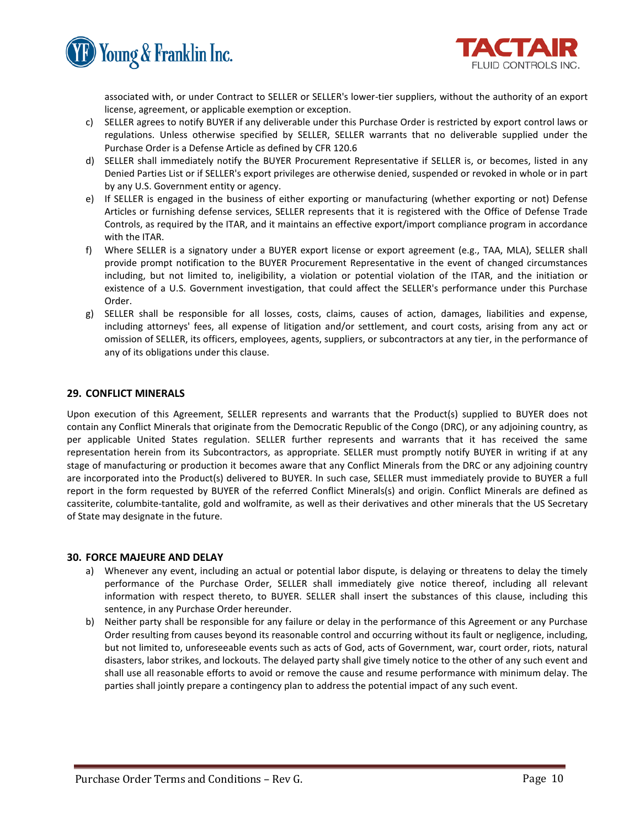



associated with, or under Contract to SELLER or SELLER's lower-tier suppliers, without the authority of an export license, agreement, or applicable exemption or exception.

- c) SELLER agrees to notify BUYER if any deliverable under this Purchase Order is restricted by export control laws or regulations. Unless otherwise specified by SELLER, SELLER warrants that no deliverable supplied under the Purchase Order is a Defense Article as defined by CFR 120.6
- d) SELLER shall immediately notify the BUYER Procurement Representative if SELLER is, or becomes, listed in any Denied Parties List or if SELLER's export privileges are otherwise denied, suspended or revoked in whole or in part by any U.S. Government entity or agency.
- e) If SELLER is engaged in the business of either exporting or manufacturing (whether exporting or not) Defense Articles or furnishing defense services, SELLER represents that it is registered with the Office of Defense Trade Controls, as required by the ITAR, and it maintains an effective export/import compliance program in accordance with the ITAR.
- f) Where SELLER is a signatory under a BUYER export license or export agreement (e.g., TAA, MLA), SELLER shall provide prompt notification to the BUYER Procurement Representative in the event of changed circumstances including, but not limited to, ineligibility, a violation or potential violation of the ITAR, and the initiation or existence of a U.S. Government investigation, that could affect the SELLER's performance under this Purchase Order.
- g) SELLER shall be responsible for all losses, costs, claims, causes of action, damages, liabilities and expense, including attorneys' fees, all expense of litigation and/or settlement, and court costs, arising from any act or omission of SELLER, its officers, employees, agents, suppliers, or subcontractors at any tier, in the performance of any of its obligations under this clause.

# **29. CONFLICT MINERALS**

Upon execution of this Agreement, SELLER represents and warrants that the Product(s) supplied to BUYER does not contain any Conflict Minerals that originate from the Democratic Republic of the Congo (DRC), or any adjoining country, as per applicable United States regulation. SELLER further represents and warrants that it has received the same representation herein from its Subcontractors, as appropriate. SELLER must promptly notify BUYER in writing if at any stage of manufacturing or production it becomes aware that any Conflict Minerals from the DRC or any adjoining country are incorporated into the Product(s) delivered to BUYER. In such case, SELLER must immediately provide to BUYER a full report in the form requested by BUYER of the referred Conflict Minerals(s) and origin. Conflict Minerals are defined as cassiterite, columbite-tantalite, gold and wolframite, as well as their derivatives and other minerals that the US Secretary of State may designate in the future.

# **30. FORCE MAJEURE AND DELAY**

- a) Whenever any event, including an actual or potential labor dispute, is delaying or threatens to delay the timely performance of the Purchase Order, SELLER shall immediately give notice thereof, including all relevant information with respect thereto, to BUYER. SELLER shall insert the substances of this clause, including this sentence, in any Purchase Order hereunder.
- b) Neither party shall be responsible for any failure or delay in the performance of this Agreement or any Purchase Order resulting from causes beyond its reasonable control and occurring without its fault or negligence, including, but not limited to, unforeseeable events such as acts of God, acts of Government, war, court order, riots, natural disasters, labor strikes, and lockouts. The delayed party shall give timely notice to the other of any such event and shall use all reasonable efforts to avoid or remove the cause and resume performance with minimum delay. The parties shall jointly prepare a contingency plan to address the potential impact of any such event.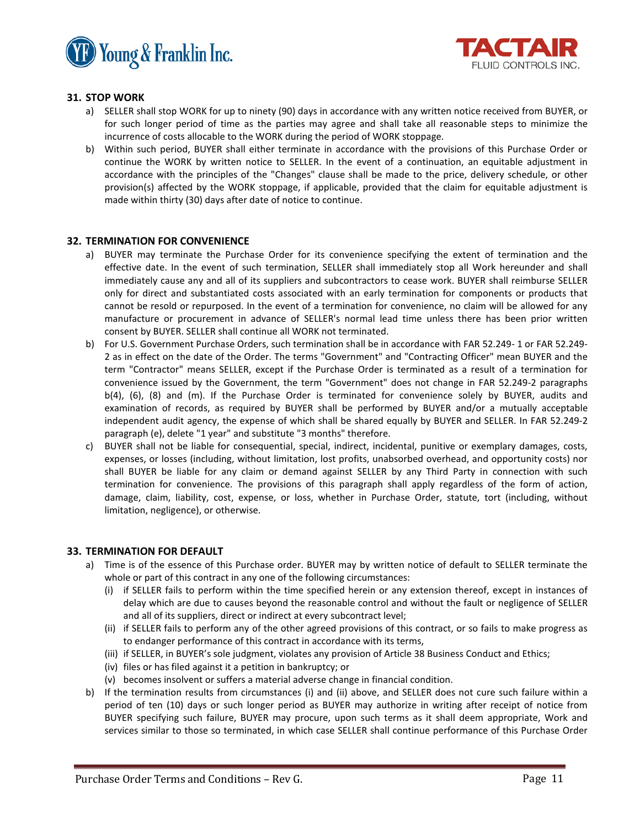



# **31. STOP WORK**

- a) SELLER shall stop WORK for up to ninety (90) days in accordance with any written notice received from BUYER, or for such longer period of time as the parties may agree and shall take all reasonable steps to minimize the incurrence of costs allocable to the WORK during the period of WORK stoppage.
- b) Within such period, BUYER shall either terminate in accordance with the provisions of this Purchase Order or continue the WORK by written notice to SELLER. In the event of a continuation, an equitable adjustment in accordance with the principles of the "Changes" clause shall be made to the price, delivery schedule, or other provision(s) affected by the WORK stoppage, if applicable, provided that the claim for equitable adjustment is made within thirty (30) days after date of notice to continue.

# **32. TERMINATION FOR CONVENIENCE**

- a) BUYER may terminate the Purchase Order for its convenience specifying the extent of termination and the effective date. In the event of such termination, SELLER shall immediately stop all Work hereunder and shall immediately cause any and all of its suppliers and subcontractors to cease work. BUYER shall reimburse SELLER only for direct and substantiated costs associated with an early termination for components or products that cannot be resold or repurposed. In the event of a termination for convenience, no claim will be allowed for any manufacture or procurement in advance of SELLER's normal lead time unless there has been prior written consent by BUYER. SELLER shall continue all WORK not terminated.
- b) For U.S. Government Purchase Orders, such termination shall be in accordance with FAR 52.249- 1 or FAR 52.249- 2 as in effect on the date of the Order. The terms "Government" and "Contracting Officer" mean BUYER and the term "Contractor" means SELLER, except if the Purchase Order is terminated as a result of a termination for convenience issued by the Government, the term "Government" does not change in FAR 52.249-2 paragraphs b(4), (6), (8) and (m). If the Purchase Order is terminated for convenience solely by BUYER, audits and examination of records, as required by BUYER shall be performed by BUYER and/or a mutually acceptable independent audit agency, the expense of which shall be shared equally by BUYER and SELLER. In FAR 52.249-2 paragraph (e), delete "1 year" and substitute "3 months" therefore.
- c) BUYER shall not be liable for consequential, special, indirect, incidental, punitive or exemplary damages, costs, expenses, or losses (including, without limitation, lost profits, unabsorbed overhead, and opportunity costs) nor shall BUYER be liable for any claim or demand against SELLER by any Third Party in connection with such termination for convenience. The provisions of this paragraph shall apply regardless of the form of action, damage, claim, liability, cost, expense, or loss, whether in Purchase Order, statute, tort (including, without limitation, negligence), or otherwise.

# **33. TERMINATION FOR DEFAULT**

- a) Time is of the essence of this Purchase order. BUYER may by written notice of default to SELLER terminate the whole or part of this contract in any one of the following circumstances:
	- (i) if SELLER fails to perform within the time specified herein or any extension thereof, except in instances of delay which are due to causes beyond the reasonable control and without the fault or negligence of SELLER and all of its suppliers, direct or indirect at every subcontract level;
	- (ii) if SELLER fails to perform any of the other agreed provisions of this contract, or so fails to make progress as to endanger performance of this contract in accordance with its terms,
	- (iii) if SELLER, in BUYER's sole judgment, violates any provision of Article 38 Business Conduct and Ethics;
	- (iv) files or has filed against it a petition in bankruptcy; or
	- (v) becomes insolvent or suffers a material adverse change in financial condition.
- b) If the termination results from circumstances (i) and (ii) above, and SELLER does not cure such failure within a period of ten (10) days or such longer period as BUYER may authorize in writing after receipt of notice from BUYER specifying such failure, BUYER may procure, upon such terms as it shall deem appropriate, Work and services similar to those so terminated, in which case SELLER shall continue performance of this Purchase Order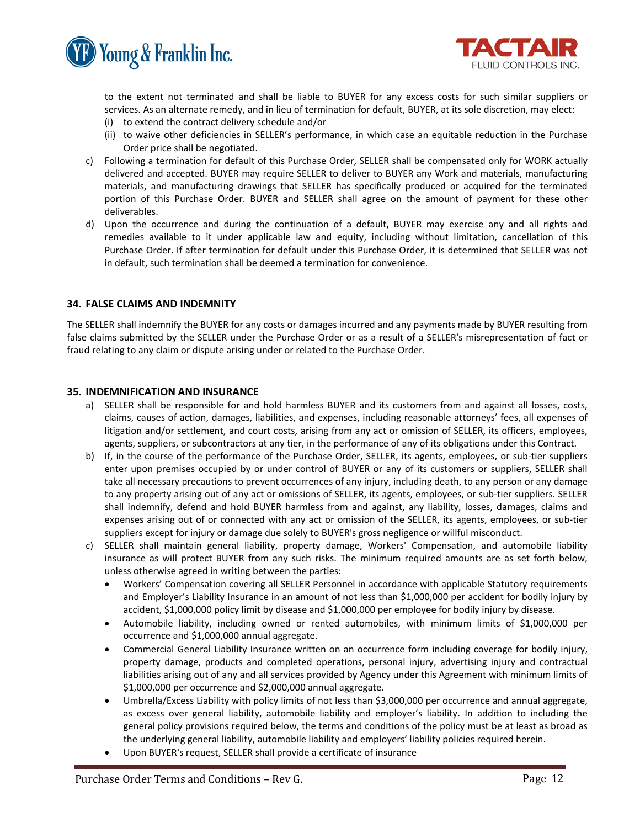



to the extent not terminated and shall be liable to BUYER for any excess costs for such similar suppliers or services. As an alternate remedy, and in lieu of termination for default, BUYER, at its sole discretion, may elect:

- (i) to extend the contract delivery schedule and/or
- (ii) to waive other deficiencies in SELLER's performance, in which case an equitable reduction in the Purchase Order price shall be negotiated.
- c) Following a termination for default of this Purchase Order, SELLER shall be compensated only for WORK actually delivered and accepted. BUYER may require SELLER to deliver to BUYER any Work and materials, manufacturing materials, and manufacturing drawings that SELLER has specifically produced or acquired for the terminated portion of this Purchase Order. BUYER and SELLER shall agree on the amount of payment for these other deliverables.
- d) Upon the occurrence and during the continuation of a default, BUYER may exercise any and all rights and remedies available to it under applicable law and equity, including without limitation, cancellation of this Purchase Order. If after termination for default under this Purchase Order, it is determined that SELLER was not in default, such termination shall be deemed a termination for convenience.

# **34. FALSE CLAIMS AND INDEMNITY**

The SELLER shall indemnify the BUYER for any costs or damages incurred and any payments made by BUYER resulting from false claims submitted by the SELLER under the Purchase Order or as a result of a SELLER's misrepresentation of fact or fraud relating to any claim or dispute arising under or related to the Purchase Order.

#### **35. INDEMNIFICATION AND INSURANCE**

- a) SELLER shall be responsible for and hold harmless BUYER and its customers from and against all losses, costs, claims, causes of action, damages, liabilities, and expenses, including reasonable attorneys' fees, all expenses of litigation and/or settlement, and court costs, arising from any act or omission of SELLER, its officers, employees, agents, suppliers, or subcontractors at any tier, in the performance of any of its obligations under this Contract.
- b) If, in the course of the performance of the Purchase Order, SELLER, its agents, employees, or sub-tier suppliers enter upon premises occupied by or under control of BUYER or any of its customers or suppliers, SELLER shall take all necessary precautions to prevent occurrences of any injury, including death, to any person or any damage to any property arising out of any act or omissions of SELLER, its agents, employees, or sub-tier suppliers. SELLER shall indemnify, defend and hold BUYER harmless from and against, any liability, losses, damages, claims and expenses arising out of or connected with any act or omission of the SELLER, its agents, employees, or sub-tier suppliers except for injury or damage due solely to BUYER's gross negligence or willful misconduct.
- c) SELLER shall maintain general liability, property damage, Workers' Compensation, and automobile liability insurance as will protect BUYER from any such risks. The minimum required amounts are as set forth below, unless otherwise agreed in writing between the parties:
	- Workers' Compensation covering all SELLER Personnel in accordance with applicable Statutory requirements and Employer's Liability Insurance in an amount of not less than \$1,000,000 per accident for bodily injury by accident, \$1,000,000 policy limit by disease and \$1,000,000 per employee for bodily injury by disease.
	- Automobile liability, including owned or rented automobiles, with minimum limits of \$1,000,000 per occurrence and \$1,000,000 annual aggregate.
	- Commercial General Liability Insurance written on an occurrence form including coverage for bodily injury, property damage, products and completed operations, personal injury, advertising injury and contractual liabilities arising out of any and all services provided by Agency under this Agreement with minimum limits of \$1,000,000 per occurrence and \$2,000,000 annual aggregate.
	- Umbrella/Excess Liability with policy limits of not less than \$3,000,000 per occurrence and annual aggregate, as excess over general liability, automobile liability and employer's liability. In addition to including the general policy provisions required below, the terms and conditions of the policy must be at least as broad as the underlying general liability, automobile liability and employers' liability policies required herein.
	- Upon BUYER's request, SELLER shall provide a certificate of insurance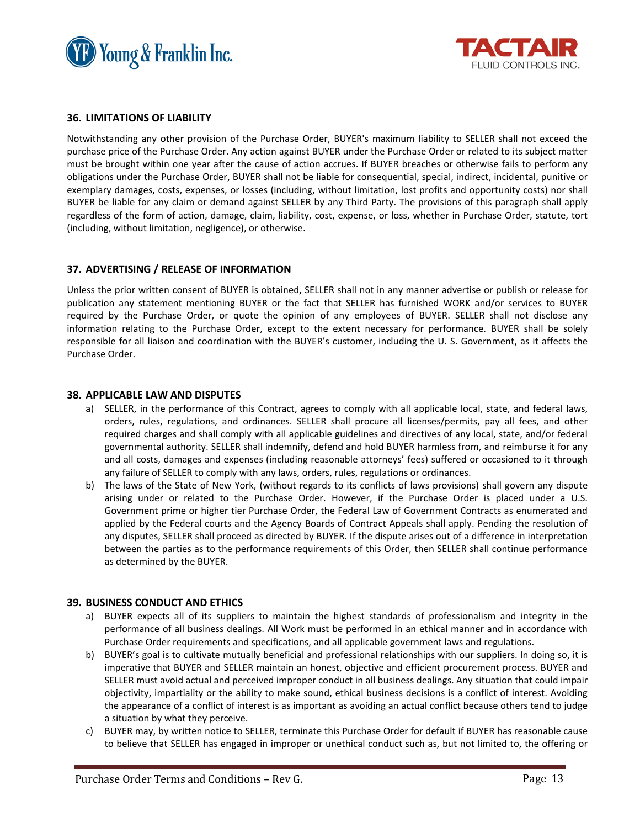



# **36. LIMITATIONS OF LIABILITY**

Notwithstanding any other provision of the Purchase Order, BUYER's maximum liability to SELLER shall not exceed the purchase price of the Purchase Order. Any action against BUYER under the Purchase Order or related to its subject matter must be brought within one year after the cause of action accrues. If BUYER breaches or otherwise fails to perform any obligations under the Purchase Order, BUYER shall not be liable for consequential, special, indirect, incidental, punitive or exemplary damages, costs, expenses, or losses (including, without limitation, lost profits and opportunity costs) nor shall BUYER be liable for any claim or demand against SELLER by any Third Party. The provisions of this paragraph shall apply regardless of the form of action, damage, claim, liability, cost, expense, or loss, whether in Purchase Order, statute, tort (including, without limitation, negligence), or otherwise.

# **37. ADVERTISING / RELEASE OF INFORMATION**

Unless the prior written consent of BUYER is obtained, SELLER shall not in any manner advertise or publish or release for publication any statement mentioning BUYER or the fact that SELLER has furnished WORK and/or services to BUYER required by the Purchase Order, or quote the opinion of any employees of BUYER. SELLER shall not disclose any information relating to the Purchase Order, except to the extent necessary for performance. BUYER shall be solely responsible for all liaison and coordination with the BUYER's customer, including the U. S. Government, as it affects the Purchase Order.

#### **38. APPLICABLE LAW AND DISPUTES**

- a) SELLER, in the performance of this Contract, agrees to comply with all applicable local, state, and federal laws, orders, rules, regulations, and ordinances. SELLER shall procure all licenses/permits, pay all fees, and other required charges and shall comply with all applicable guidelines and directives of any local, state, and/or federal governmental authority. SELLER shall indemnify, defend and hold BUYER harmless from, and reimburse it for any and all costs, damages and expenses (including reasonable attorneys' fees) suffered or occasioned to it through any failure of SELLER to comply with any laws, orders, rules, regulations or ordinances.
- b) The laws of the State of New York, (without regards to its conflicts of laws provisions) shall govern any dispute arising under or related to the Purchase Order. However, if the Purchase Order is placed under a U.S. Government prime or higher tier Purchase Order, the Federal Law of Government Contracts as enumerated and applied by the Federal courts and the Agency Boards of Contract Appeals shall apply. Pending the resolution of any disputes, SELLER shall proceed as directed by BUYER. If the dispute arises out of a difference in interpretation between the parties as to the performance requirements of this Order, then SELLER shall continue performance as determined by the BUYER.

#### **39. BUSINESS CONDUCT AND ETHICS**

- a) BUYER expects all of its suppliers to maintain the highest standards of professionalism and integrity in the performance of all business dealings. All Work must be performed in an ethical manner and in accordance with Purchase Order requirements and specifications, and all applicable government laws and regulations.
- b) BUYER's goal is to cultivate mutually beneficial and professional relationships with our suppliers. In doing so, it is imperative that BUYER and SELLER maintain an honest, objective and efficient procurement process. BUYER and SELLER must avoid actual and perceived improper conduct in all business dealings. Any situation that could impair objectivity, impartiality or the ability to make sound, ethical business decisions is a conflict of interest. Avoiding the appearance of a conflict of interest is as important as avoiding an actual conflict because others tend to judge a situation by what they perceive.
- c) BUYER may, by written notice to SELLER, terminate this Purchase Order for default if BUYER has reasonable cause to believe that SELLER has engaged in improper or unethical conduct such as, but not limited to, the offering or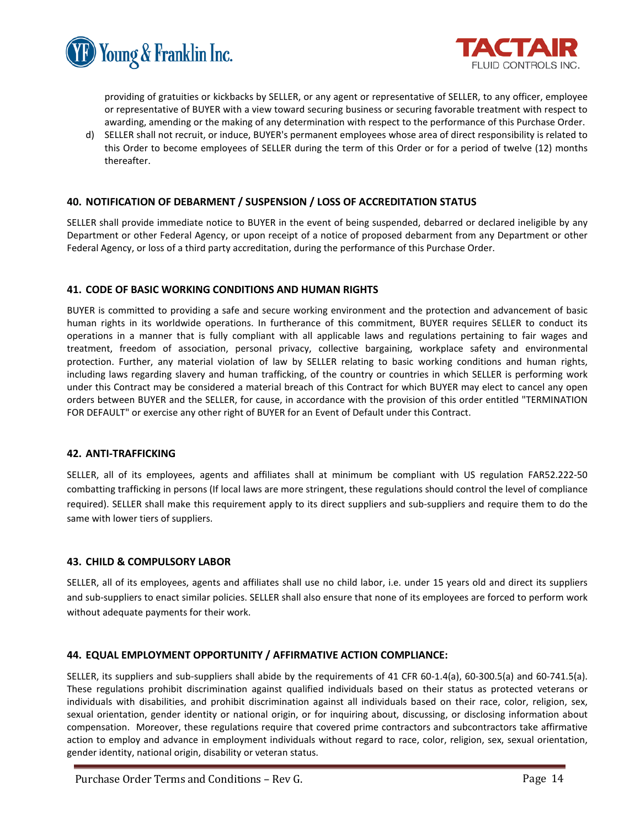



providing of gratuities or kickbacks by SELLER, or any agent or representative of SELLER, to any officer, employee or representative of BUYER with a view toward securing business or securing favorable treatment with respect to awarding, amending or the making of any determination with respect to the performance of this Purchase Order.

d) SELLER shall not recruit, or induce, BUYER's permanent employees whose area of direct responsibility is related to this Order to become employees of SELLER during the term of this Order or for a period of twelve (12) months thereafter.

# **40. NOTIFICATION OF DEBARMENT / SUSPENSION / LOSS OF ACCREDITATION STATUS**

SELLER shall provide immediate notice to BUYER in the event of being suspended, debarred or declared ineligible by any Department or other Federal Agency, or upon receipt of a notice of proposed debarment from any Department or other Federal Agency, or loss of a third party accreditation, during the performance of this Purchase Order.

# **41. CODE OF BASIC WORKING CONDITIONS AND HUMAN RIGHTS**

BUYER is committed to providing a safe and secure working environment and the protection and advancement of basic human rights in its worldwide operations. In furtherance of this commitment, BUYER requires SELLER to conduct its operations in a manner that is fully compliant with all applicable laws and regulations pertaining to fair wages and treatment, freedom of association, personal privacy, collective bargaining, workplace safety and environmental protection. Further, any material violation of law by SELLER relating to basic working conditions and human rights, including laws regarding slavery and human trafficking, of the country or countries in which SELLER is performing work under this Contract may be considered a material breach of this Contract for which BUYER may elect to cancel any open orders between BUYER and the SELLER, for cause, in accordance with the provision of this order entitled "TERMINATION FOR DEFAULT" or exercise any other right of BUYER for an Event of Default under this Contract.

#### **42. ANTI-TRAFFICKING**

SELLER, all of its employees, agents and affiliates shall at minimum be compliant with US regulation FAR52.222-50 combatting trafficking in persons (If local laws are more stringent, these regulations should control the level of compliance required). SELLER shall make this requirement apply to its direct suppliers and sub-suppliers and require them to do the same with lower tiers of suppliers.

# **43. CHILD & COMPULSORY LABOR**

SELLER, all of its employees, agents and affiliates shall use no child labor, i.e. under 15 years old and direct its suppliers and sub-suppliers to enact similar policies. SELLER shall also ensure that none of its employees are forced to perform work without adequate payments for their work.

# **44. EQUAL EMPLOYMENT OPPORTUNITY / AFFIRMATIVE ACTION COMPLIANCE:**

SELLER, its suppliers and sub-suppliers shall abide by the requirements of 41 CFR 60-1.4(a), 60-300.5(a) and 60-741.5(a). These regulations prohibit discrimination against qualified individuals based on their status as protected veterans or individuals with disabilities, and prohibit discrimination against all individuals based on their race, color, religion, sex, sexual orientation, gender identity or national origin, or for inquiring about, discussing, or disclosing information about compensation. Moreover, these regulations require that covered prime contractors and subcontractors take affirmative action to employ and advance in employment individuals without regard to race, color, religion, sex, sexual orientation, gender identity, national origin, disability or veteran status.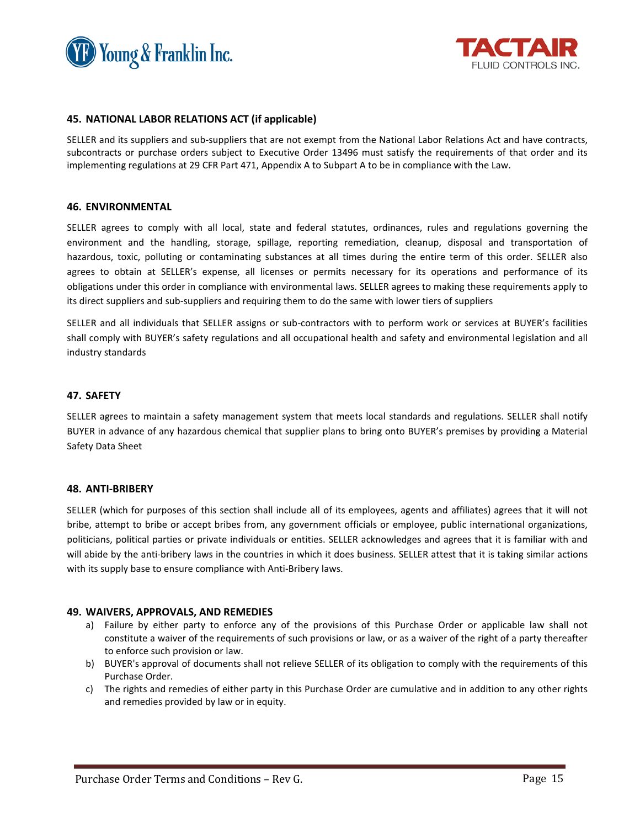



#### **45. NATIONAL LABOR RELATIONS ACT (if applicable)**

SELLER and its suppliers and sub-suppliers that are not exempt from the National Labor Relations Act and have contracts, subcontracts or purchase orders subject to Executive Order 13496 must satisfy the requirements of that order and its implementing regulations at 29 CFR Part 471, Appendix A to Subpart A to be in compliance with the Law.

#### **46. ENVIRONMENTAL**

SELLER agrees to comply with all local, state and federal statutes, ordinances, rules and regulations governing the environment and the handling, storage, spillage, reporting remediation, cleanup, disposal and transportation of hazardous, toxic, polluting or contaminating substances at all times during the entire term of this order. SELLER also agrees to obtain at SELLER's expense, all licenses or permits necessary for its operations and performance of its obligations under this order in compliance with environmental laws. SELLER agrees to making these requirements apply to its direct suppliers and sub-suppliers and requiring them to do the same with lower tiers of suppliers

SELLER and all individuals that SELLER assigns or sub-contractors with to perform work or services at BUYER's facilities shall comply with BUYER's safety regulations and all occupational health and safety and environmental legislation and all industry standards

#### **47. SAFETY**

SELLER agrees to maintain a safety management system that meets local standards and regulations. SELLER shall notify BUYER in advance of any hazardous chemical that supplier plans to bring onto BUYER's premises by providing a Material Safety Data Sheet

#### **48. ANTI-BRIBERY**

SELLER (which for purposes of this section shall include all of its employees, agents and affiliates) agrees that it will not bribe, attempt to bribe or accept bribes from, any government officials or employee, public international organizations, politicians, political parties or private individuals or entities. SELLER acknowledges and agrees that it is familiar with and will abide by the anti-bribery laws in the countries in which it does business. SELLER attest that it is taking similar actions with its supply base to ensure compliance with Anti-Bribery laws.

# **49. WAIVERS, APPROVALS, AND REMEDIES**

- a) Failure by either party to enforce any of the provisions of this Purchase Order or applicable law shall not constitute a waiver of the requirements of such provisions or law, or as a waiver of the right of a party thereafter to enforce such provision or law.
- b) BUYER's approval of documents shall not relieve SELLER of its obligation to comply with the requirements of this Purchase Order.
- c) The rights and remedies of either party in this Purchase Order are cumulative and in addition to any other rights and remedies provided by law or in equity.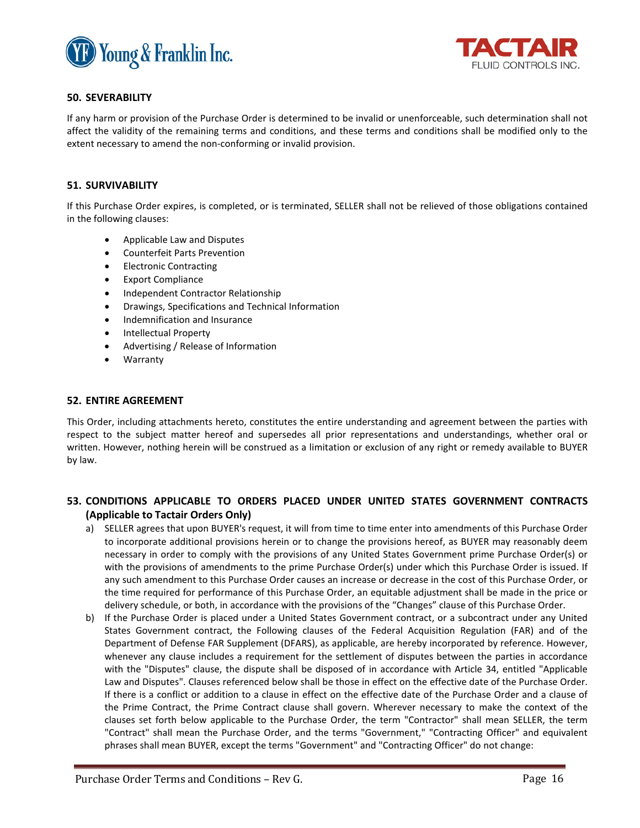



# **50. SEVERABILITY**

If any harm or provision of the Purchase Order is determined to be invalid or unenforceable, such determination shall not affect the validity of the remaining terms and conditions, and these terms and conditions shall be modified only to the extent necessary to amend the non-conforming or invalid provision.

# **51. SURVIVABILITY**

If this Purchase Order expires, is completed, or is terminated, SELLER shall not be relieved of those obligations contained in the following clauses:

- Applicable Law and Disputes
- Counterfeit Parts Prevention
- Electronic Contracting
- Export Compliance
- Independent Contractor Relationship
- Drawings, Specifications and Technical Information
- Indemnification and Insurance
- Intellectual Property
- Advertising / Release of Information
- **Warranty**

# **52. ENTIRE AGREEMENT**

This Order, including attachments hereto, constitutes the entire understanding and agreement between the parties with respect to the subject matter hereof and supersedes all prior representations and understandings, whether oral or written. However, nothing herein will be construed as a limitation or exclusion of any right or remedy available to BUYER by law.

# **53. CONDITIONS APPLICABLE TO ORDERS PLACED UNDER UNITED STATES GOVERNMENT CONTRACTS (Applicable to Tactair Orders Only)**

- a) SELLER agrees that upon BUYER's request, it will from time to time enter into amendments of this Purchase Order to incorporate additional provisions herein or to change the provisions hereof, as BUYER may reasonably deem necessary in order to comply with the provisions of any United States Government prime Purchase Order(s) or with the provisions of amendments to the prime Purchase Order(s) under which this Purchase Order is issued. If any such amendment to this Purchase Order causes an increase or decrease in the cost of this Purchase Order, or the time required for performance of this Purchase Order, an equitable adjustment shall be made in the price or delivery schedule, or both, in accordance with the provisions of the "Changes" clause of this Purchase Order.
- b) If the Purchase Order is placed under a United States Government contract, or a subcontract under any United States Government contract, the Following clauses of the Federal Acquisition Regulation (FAR) and of the Department of Defense FAR Supplement (DFARS), as applicable, are hereby incorporated by reference. However, whenever any clause includes a requirement for the settlement of disputes between the parties in accordance with the "Disputes" clause, the dispute shall be disposed of in accordance with Article 34, entitled "Applicable Law and Disputes". Clauses referenced below shall be those in effect on the effective date of the Purchase Order. If there is a conflict or addition to a clause in effect on the effective date of the Purchase Order and a clause of the Prime Contract, the Prime Contract clause shall govern. Wherever necessary to make the context of the clauses set forth below applicable to the Purchase Order, the term "Contractor" shall mean SELLER, the term "Contract" shall mean the Purchase Order, and the terms "Government," "Contracting Officer" and equivalent phrases shall mean BUYER, except the terms "Government" and "Contracting Officer" do not change: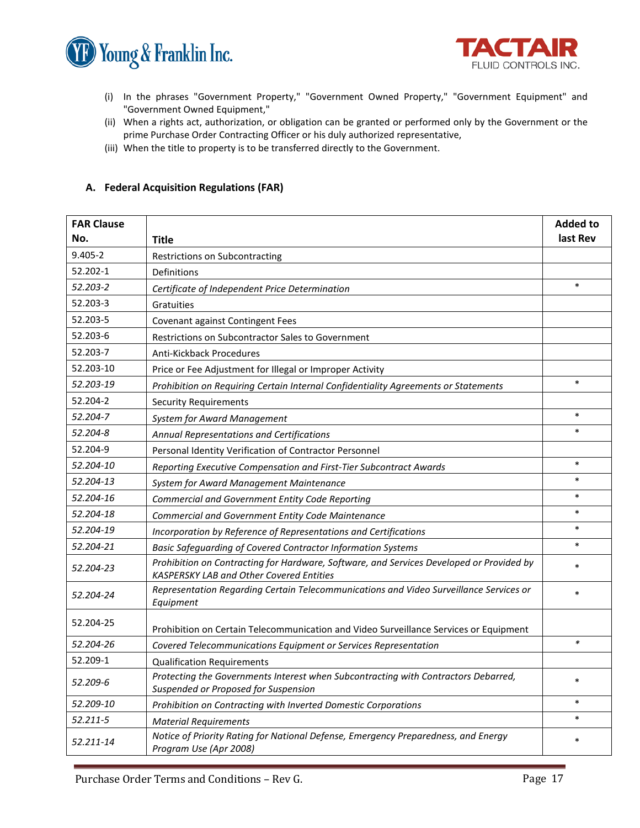



- (i) In the phrases "Government Property," "Government Owned Property," "Government Equipment" and "Government Owned Equipment,"
- (ii) When a rights act, authorization, or obligation can be granted or performed only by the Government or the prime Purchase Order Contracting Officer or his duly authorized representative,
- (iii) When the title to property is to be transferred directly to the Government.

# **A. Federal Acquisition Regulations (FAR)**

| <b>FAR Clause</b> |                                                                                                                                      |        |  |
|-------------------|--------------------------------------------------------------------------------------------------------------------------------------|--------|--|
| No.               | <b>Title</b>                                                                                                                         |        |  |
| $9.405 - 2$       | Restrictions on Subcontracting                                                                                                       |        |  |
| 52.202-1          | Definitions                                                                                                                          |        |  |
| 52.203-2          | Certificate of Independent Price Determination                                                                                       |        |  |
| 52.203-3          | Gratuities                                                                                                                           |        |  |
| 52.203-5          | Covenant against Contingent Fees                                                                                                     |        |  |
| 52.203-6          | Restrictions on Subcontractor Sales to Government                                                                                    |        |  |
| 52.203-7          | Anti-Kickback Procedures                                                                                                             |        |  |
| 52.203-10         | Price or Fee Adjustment for Illegal or Improper Activity                                                                             |        |  |
| 52.203-19         | Prohibition on Requiring Certain Internal Confidentiality Agreements or Statements                                                   |        |  |
| 52.204-2          | <b>Security Requirements</b>                                                                                                         |        |  |
| 52.204-7          | <b>System for Award Management</b>                                                                                                   |        |  |
| 52.204-8          | Annual Representations and Certifications                                                                                            |        |  |
| 52.204-9          | Personal Identity Verification of Contractor Personnel                                                                               |        |  |
| 52.204-10         | Reporting Executive Compensation and First-Tier Subcontract Awards                                                                   |        |  |
| 52.204-13         | System for Award Management Maintenance                                                                                              | $\ast$ |  |
| 52.204-16         | Commercial and Government Entity Code Reporting                                                                                      |        |  |
| 52.204-18         | Commercial and Government Entity Code Maintenance                                                                                    |        |  |
| 52.204-19         | Incorporation by Reference of Representations and Certifications                                                                     |        |  |
| 52.204-21         | Basic Safeguarding of Covered Contractor Information Systems                                                                         |        |  |
| 52.204-23         | Prohibition on Contracting for Hardware, Software, and Services Developed or Provided by<br>KASPERSKY LAB and Other Covered Entities |        |  |
| 52.204-24         | Representation Regarding Certain Telecommunications and Video Surveillance Services or<br>Equipment                                  |        |  |
| 52.204-25         | Prohibition on Certain Telecommunication and Video Surveillance Services or Equipment                                                |        |  |
| 52.204-26         | Covered Telecommunications Equipment or Services Representation                                                                      | $\ast$ |  |
| 52.209-1          | <b>Qualification Requirements</b>                                                                                                    |        |  |
| 52.209-6          | Protecting the Governments Interest when Subcontracting with Contractors Debarred,<br>Suspended or Proposed for Suspension           |        |  |
| 52.209-10         | Prohibition on Contracting with Inverted Domestic Corporations                                                                       | $\ast$ |  |
| 52.211-5          | <b>Material Requirements</b>                                                                                                         | $\ast$ |  |
| 52.211-14         | Notice of Priority Rating for National Defense, Emergency Preparedness, and Energy<br>Program Use (Apr 2008)                         |        |  |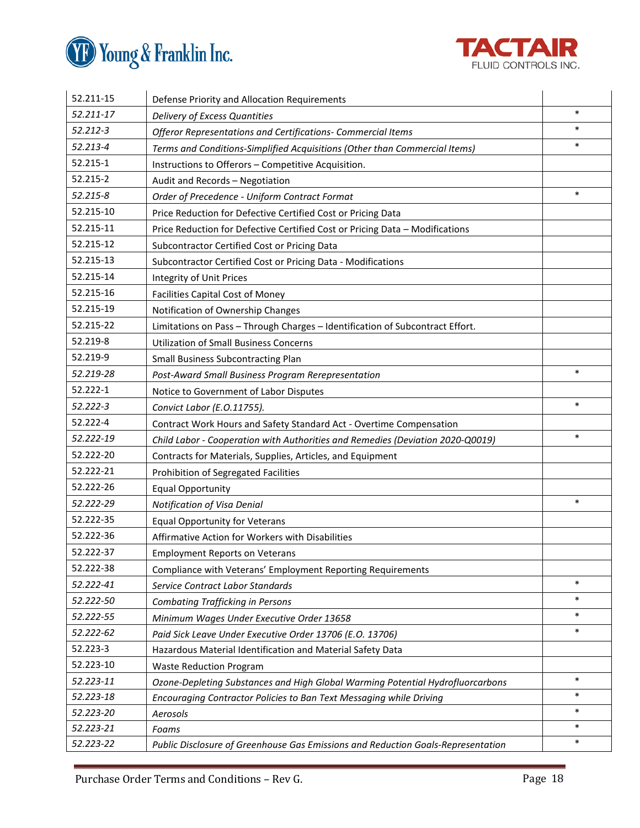



| 52.211-15 | Defense Priority and Allocation Requirements                                     |                  |  |
|-----------|----------------------------------------------------------------------------------|------------------|--|
| 52.211-17 | Delivery of Excess Quantities                                                    |                  |  |
| 52.212-3  | Offeror Representations and Certifications- Commercial Items                     |                  |  |
| 52.213-4  | Terms and Conditions-Simplified Acquisitions (Other than Commercial Items)       | $\ast$           |  |
| 52.215-1  | Instructions to Offerors - Competitive Acquisition.                              |                  |  |
| 52.215-2  | Audit and Records - Negotiation                                                  |                  |  |
| 52.215-8  | Order of Precedence - Uniform Contract Format                                    | $\ast$           |  |
| 52.215-10 | Price Reduction for Defective Certified Cost or Pricing Data                     |                  |  |
| 52.215-11 | Price Reduction for Defective Certified Cost or Pricing Data - Modifications     |                  |  |
| 52.215-12 | Subcontractor Certified Cost or Pricing Data                                     |                  |  |
| 52.215-13 | Subcontractor Certified Cost or Pricing Data - Modifications                     |                  |  |
| 52.215-14 | Integrity of Unit Prices                                                         |                  |  |
| 52.215-16 | <b>Facilities Capital Cost of Money</b>                                          |                  |  |
| 52.215-19 | Notification of Ownership Changes                                                |                  |  |
| 52.215-22 | Limitations on Pass - Through Charges - Identification of Subcontract Effort.    |                  |  |
| 52.219-8  | <b>Utilization of Small Business Concerns</b>                                    |                  |  |
| 52.219-9  | <b>Small Business Subcontracting Plan</b>                                        |                  |  |
| 52.219-28 | Post-Award Small Business Program Rerepresentation                               | $\ast$           |  |
| 52.222-1  | Notice to Government of Labor Disputes                                           |                  |  |
| 52.222-3  | Convict Labor (E.O.11755).                                                       |                  |  |
| 52.222-4  | Contract Work Hours and Safety Standard Act - Overtime Compensation              |                  |  |
| 52.222-19 | Child Labor - Cooperation with Authorities and Remedies (Deviation 2020-Q0019)   | $\ast$           |  |
| 52.222-20 | Contracts for Materials, Supplies, Articles, and Equipment                       |                  |  |
| 52.222-21 | Prohibition of Segregated Facilities                                             |                  |  |
| 52.222-26 | <b>Equal Opportunity</b>                                                         |                  |  |
| 52.222-29 | Notification of Visa Denial                                                      | $\ast$           |  |
| 52.222-35 | <b>Equal Opportunity for Veterans</b>                                            |                  |  |
| 52.222-36 | Affirmative Action for Workers with Disabilities                                 |                  |  |
| 52.222-37 | <b>Employment Reports on Veterans</b>                                            |                  |  |
| 52.222-38 | Compliance with Veterans' Employment Reporting Requirements                      |                  |  |
| 52.222-41 | Service Contract Labor Standards                                                 | $\ast$           |  |
| 52.222-50 | <b>Combating Trafficking in Persons</b>                                          | $\ast$           |  |
| 52.222-55 | Minimum Wages Under Executive Order 13658                                        | $\ast$           |  |
| 52.222-62 | Paid Sick Leave Under Executive Order 13706 (E.O. 13706)                         | $\ast$           |  |
| 52.223-3  | Hazardous Material Identification and Material Safety Data                       |                  |  |
| 52.223-10 | <b>Waste Reduction Program</b>                                                   |                  |  |
| 52.223-11 | Ozone-Depleting Substances and High Global Warming Potential Hydrofluorcarbons   | $\ast$           |  |
| 52.223-18 | Encouraging Contractor Policies to Ban Text Messaging while Driving              | $\ast$           |  |
| 52.223-20 | Aerosols                                                                         | $\ast$<br>$\ast$ |  |
| 52.223-21 | Foams                                                                            |                  |  |
| 52.223-22 | Public Disclosure of Greenhouse Gas Emissions and Reduction Goals-Representation |                  |  |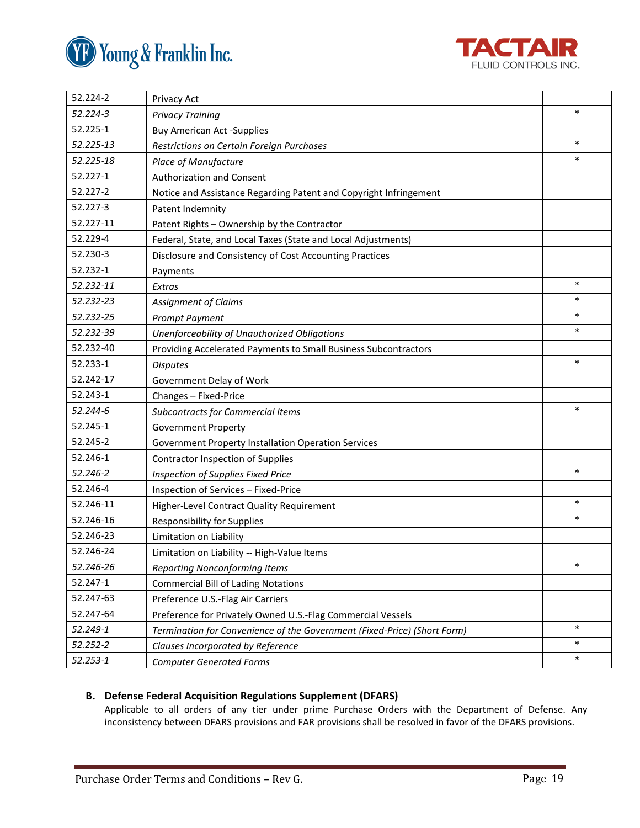



| 52.224-2  | Privacy Act                                                              |        |  |  |
|-----------|--------------------------------------------------------------------------|--------|--|--|
| 52.224-3  | <b>Privacy Training</b>                                                  |        |  |  |
| 52.225-1  | <b>Buy American Act -Supplies</b>                                        |        |  |  |
| 52.225-13 | Restrictions on Certain Foreign Purchases                                |        |  |  |
| 52.225-18 | Place of Manufacture                                                     |        |  |  |
| 52.227-1  | Authorization and Consent                                                |        |  |  |
| 52.227-2  | Notice and Assistance Regarding Patent and Copyright Infringement        |        |  |  |
| 52.227-3  | Patent Indemnity                                                         |        |  |  |
| 52.227-11 | Patent Rights - Ownership by the Contractor                              |        |  |  |
| 52.229-4  | Federal, State, and Local Taxes (State and Local Adjustments)            |        |  |  |
| 52.230-3  | Disclosure and Consistency of Cost Accounting Practices                  |        |  |  |
| 52.232-1  | Payments                                                                 |        |  |  |
| 52.232-11 | Extras                                                                   |        |  |  |
| 52.232-23 | <b>Assignment of Claims</b>                                              | $\ast$ |  |  |
| 52.232-25 | <b>Prompt Payment</b>                                                    | $\ast$ |  |  |
| 52.232-39 | Unenforceability of Unauthorized Obligations                             |        |  |  |
| 52.232-40 | Providing Accelerated Payments to Small Business Subcontractors          |        |  |  |
| 52.233-1  | <b>Disputes</b>                                                          |        |  |  |
| 52.242-17 | Government Delay of Work                                                 |        |  |  |
| 52.243-1  | Changes - Fixed-Price                                                    |        |  |  |
| 52.244-6  | Subcontracts for Commercial Items                                        |        |  |  |
| 52.245-1  | <b>Government Property</b>                                               |        |  |  |
| 52.245-2  | Government Property Installation Operation Services                      |        |  |  |
| 52.246-1  | <b>Contractor Inspection of Supplies</b>                                 |        |  |  |
| 52.246-2  | Inspection of Supplies Fixed Price                                       | $\ast$ |  |  |
| 52.246-4  | Inspection of Services - Fixed-Price                                     |        |  |  |
| 52.246-11 | Higher-Level Contract Quality Requirement                                | $\ast$ |  |  |
| 52.246-16 | <b>Responsibility for Supplies</b>                                       | $\ast$ |  |  |
| 52.246-23 | Limitation on Liability                                                  |        |  |  |
| 52.246-24 | Limitation on Liability -- High-Value Items                              |        |  |  |
| 52.246-26 | <b>Reporting Nonconforming Items</b>                                     | $\ast$ |  |  |
| 52.247-1  | <b>Commercial Bill of Lading Notations</b>                               |        |  |  |
| 52.247-63 | Preference U.S.-Flag Air Carriers                                        |        |  |  |
| 52.247-64 | Preference for Privately Owned U.S.-Flag Commercial Vessels              |        |  |  |
| 52.249-1  | Termination for Convenience of the Government (Fixed-Price) (Short Form) | $\ast$ |  |  |
| 52.252-2  | Clauses Incorporated by Reference                                        | $\ast$ |  |  |
| 52.253-1  | <b>Computer Generated Forms</b>                                          | $\ast$ |  |  |

# **B. Defense Federal Acquisition Regulations Supplement (DFARS)**

Applicable to all orders of any tier under prime Purchase Orders with the Department of Defense. Any inconsistency between DFARS provisions and FAR provisions shall be resolved in favor of the DFARS provisions.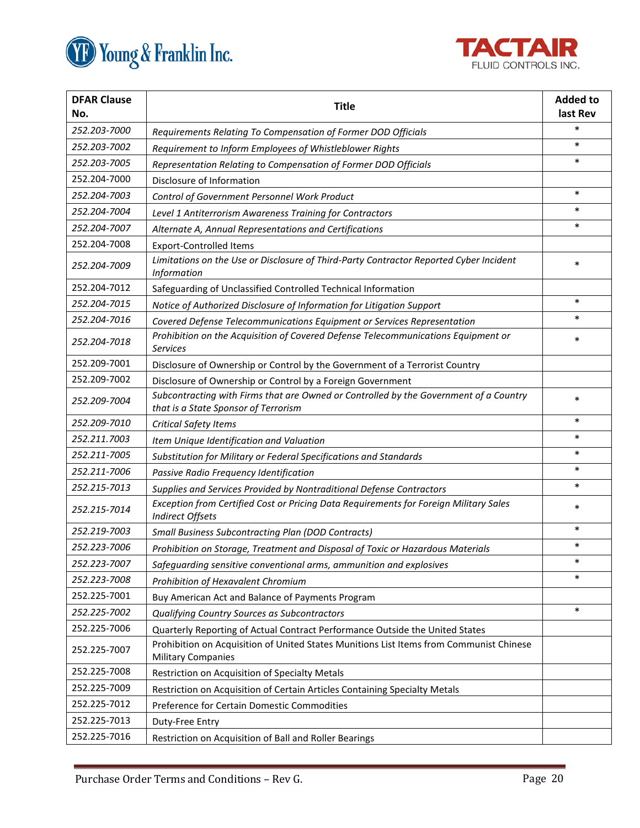



| <b>DFAR Clause</b><br>No. | <b>Title</b>                                                                                                                  |        |
|---------------------------|-------------------------------------------------------------------------------------------------------------------------------|--------|
| 252.203-7000              | Requirements Relating To Compensation of Former DOD Officials                                                                 | $\ast$ |
| 252.203-7002              | Requirement to Inform Employees of Whistleblower Rights                                                                       |        |
| 252.203-7005              | Representation Relating to Compensation of Former DOD Officials                                                               | $\ast$ |
| 252.204-7000              | Disclosure of Information                                                                                                     |        |
| 252.204-7003              | Control of Government Personnel Work Product                                                                                  | $\ast$ |
| 252.204-7004              | Level 1 Antiterrorism Awareness Training for Contractors                                                                      | $\ast$ |
| 252.204-7007              | Alternate A, Annual Representations and Certifications                                                                        | $\ast$ |
| 252.204-7008              | <b>Export-Controlled Items</b>                                                                                                |        |
| 252.204-7009              | Limitations on the Use or Disclosure of Third-Party Contractor Reported Cyber Incident<br>Information                         |        |
| 252.204-7012              | Safeguarding of Unclassified Controlled Technical Information                                                                 |        |
| 252.204-7015              | Notice of Authorized Disclosure of Information for Litigation Support                                                         | $\ast$ |
| 252.204-7016              | Covered Defense Telecommunications Equipment or Services Representation                                                       | $\ast$ |
| 252.204-7018              | Prohibition on the Acquisition of Covered Defense Telecommunications Equipment or<br><b>Services</b>                          | $\ast$ |
| 252.209-7001              | Disclosure of Ownership or Control by the Government of a Terrorist Country                                                   |        |
| 252.209-7002              | Disclosure of Ownership or Control by a Foreign Government                                                                    |        |
| 252.209-7004              | Subcontracting with Firms that are Owned or Controlled by the Government of a Country<br>that is a State Sponsor of Terrorism |        |
| 252.209-7010              | <b>Critical Safety Items</b>                                                                                                  |        |
| 252.211.7003              | Item Unique Identification and Valuation                                                                                      | $\ast$ |
| 252.211-7005              | Substitution for Military or Federal Specifications and Standards                                                             | $\ast$ |
| 252.211-7006              | Passive Radio Frequency Identification                                                                                        | $\ast$ |
| 252.215-7013              | Supplies and Services Provided by Nontraditional Defense Contractors                                                          | $\ast$ |
| 252.215-7014              | Exception from Certified Cost or Pricing Data Requirements for Foreign Military Sales<br>Indirect Offsets                     |        |
| 252.219-7003              | <b>Small Business Subcontracting Plan (DOD Contracts)</b>                                                                     | $\ast$ |
| 252.223-7006              | Prohibition on Storage, Treatment and Disposal of Toxic or Hazardous Materials                                                | $\ast$ |
| 252.223-7007              | Safeguarding sensitive conventional arms, ammunition and explosives                                                           |        |
| 252.223-7008              | Prohibition of Hexavalent Chromium                                                                                            | ∗      |
| 252.225-7001              | Buy American Act and Balance of Payments Program                                                                              |        |
| 252.225-7002              | Qualifying Country Sources as Subcontractors                                                                                  | $\ast$ |
| 252.225-7006              | Quarterly Reporting of Actual Contract Performance Outside the United States                                                  |        |
| 252.225-7007              | Prohibition on Acquisition of United States Munitions List Items from Communist Chinese<br><b>Military Companies</b>          |        |
| 252.225-7008              | Restriction on Acquisition of Specialty Metals                                                                                |        |
| 252.225-7009              | Restriction on Acquisition of Certain Articles Containing Specialty Metals                                                    |        |
| 252.225-7012              | Preference for Certain Domestic Commodities                                                                                   |        |
| 252.225-7013              | Duty-Free Entry                                                                                                               |        |
| 252.225-7016              | Restriction on Acquisition of Ball and Roller Bearings                                                                        |        |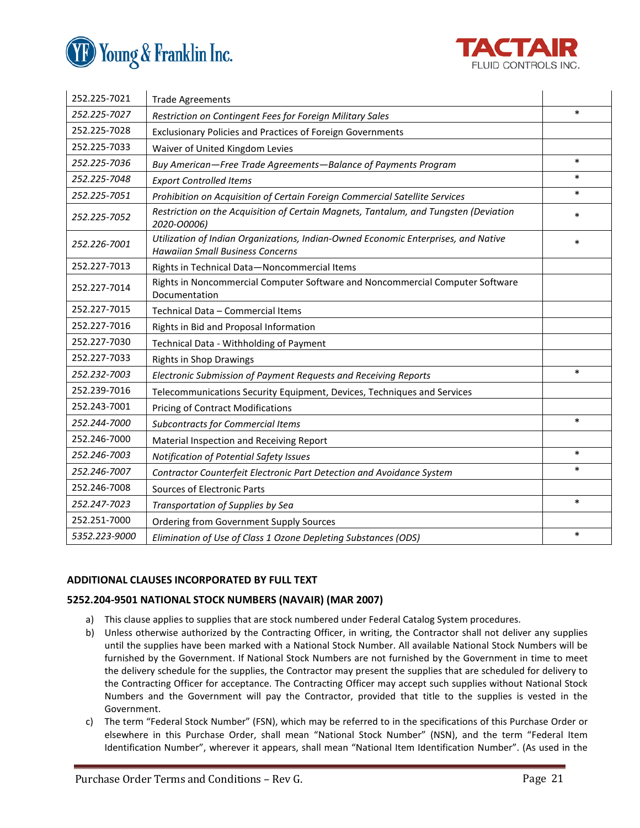



| 252.225-7021  | <b>Trade Agreements</b>                                                                                                       |        |  |
|---------------|-------------------------------------------------------------------------------------------------------------------------------|--------|--|
| 252.225-7027  | Restriction on Contingent Fees for Foreign Military Sales                                                                     |        |  |
| 252.225-7028  | Exclusionary Policies and Practices of Foreign Governments                                                                    |        |  |
| 252.225-7033  | Waiver of United Kingdom Levies                                                                                               |        |  |
| 252.225-7036  | Buy American-Free Trade Agreements-Balance of Payments Program                                                                |        |  |
| 252.225-7048  | <b>Export Controlled Items</b>                                                                                                |        |  |
| 252.225-7051  | Prohibition on Acquisition of Certain Foreign Commercial Satellite Services                                                   |        |  |
| 252.225-7052  | Restriction on the Acquisition of Certain Magnets, Tantalum, and Tungsten (Deviation<br>2020-00006)                           |        |  |
| 252.226-7001  | Utilization of Indian Organizations, Indian-Owned Economic Enterprises, and Native<br><b>Hawaiian Small Business Concerns</b> |        |  |
| 252.227-7013  | Rights in Technical Data-Noncommercial Items                                                                                  |        |  |
| 252.227-7014  | Rights in Noncommercial Computer Software and Noncommercial Computer Software<br>Documentation                                |        |  |
| 252.227-7015  | Technical Data - Commercial Items                                                                                             |        |  |
| 252.227-7016  | Rights in Bid and Proposal Information                                                                                        |        |  |
| 252.227-7030  | Technical Data - Withholding of Payment                                                                                       |        |  |
| 252.227-7033  | <b>Rights in Shop Drawings</b>                                                                                                |        |  |
| 252.232-7003  | Electronic Submission of Payment Requests and Receiving Reports                                                               | $\ast$ |  |
| 252.239-7016  | Telecommunications Security Equipment, Devices, Techniques and Services                                                       |        |  |
| 252.243-7001  | <b>Pricing of Contract Modifications</b>                                                                                      |        |  |
| 252.244-7000  | <b>Subcontracts for Commercial Items</b>                                                                                      |        |  |
| 252.246-7000  | Material Inspection and Receiving Report                                                                                      |        |  |
| 252.246-7003  | Notification of Potential Safety Issues                                                                                       | $\ast$ |  |
| 252.246-7007  | Contractor Counterfeit Electronic Part Detection and Avoidance System                                                         |        |  |
| 252.246-7008  | Sources of Electronic Parts                                                                                                   |        |  |
| 252.247-7023  | Transportation of Supplies by Sea                                                                                             |        |  |
| 252.251-7000  | <b>Ordering from Government Supply Sources</b>                                                                                |        |  |
| 5352.223-9000 | Elimination of Use of Class 1 Ozone Depleting Substances (ODS)                                                                | $\ast$ |  |

# **ADDITIONAL CLAUSES INCORPORATED BY FULL TEXT**

# **5252.204-9501 NATIONAL STOCK NUMBERS (NAVAIR) (MAR 2007)**

- a) This clause applies to supplies that are stock numbered under Federal Catalog System procedures.
- b) Unless otherwise authorized by the Contracting Officer, in writing, the Contractor shall not deliver any supplies until the supplies have been marked with a National Stock Number. All available National Stock Numbers will be furnished by the Government. If National Stock Numbers are not furnished by the Government in time to meet the delivery schedule for the supplies, the Contractor may present the supplies that are scheduled for delivery to the Contracting Officer for acceptance. The Contracting Officer may accept such supplies without National Stock Numbers and the Government will pay the Contractor, provided that title to the supplies is vested in the Government.
- c) The term "Federal Stock Number" (FSN), which may be referred to in the specifications of this Purchase Order or elsewhere in this Purchase Order, shall mean "National Stock Number" (NSN), and the term "Federal Item Identification Number", wherever it appears, shall mean "National Item Identification Number". (As used in the